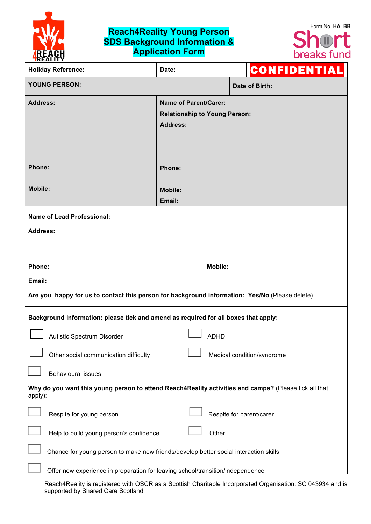

## **Reach4Reality Young Person SDS Background Information & Application Form**



| <b>Holiday Reference:</b>                                                                                        | Date:                                                                                   |                          | CONFIDENTIAL               |  |  |
|------------------------------------------------------------------------------------------------------------------|-----------------------------------------------------------------------------------------|--------------------------|----------------------------|--|--|
| <b>YOUNG PERSON:</b>                                                                                             |                                                                                         |                          | Date of Birth:             |  |  |
| <b>Address:</b>                                                                                                  | <b>Name of Parent/Carer:</b><br><b>Relationship to Young Person:</b><br><b>Address:</b> |                          |                            |  |  |
| Phone:                                                                                                           | Phone:                                                                                  |                          |                            |  |  |
| <b>Mobile:</b>                                                                                                   | <b>Mobile:</b><br>Email:                                                                |                          |                            |  |  |
| <b>Name of Lead Professional:</b>                                                                                |                                                                                         |                          |                            |  |  |
| <b>Address:</b>                                                                                                  |                                                                                         |                          |                            |  |  |
|                                                                                                                  |                                                                                         |                          |                            |  |  |
| Phone:                                                                                                           | <b>Mobile:</b>                                                                          |                          |                            |  |  |
| Email:                                                                                                           |                                                                                         |                          |                            |  |  |
| Are you happy for us to contact this person for background information: Yes/No (Please delete)                   |                                                                                         |                          |                            |  |  |
| Background information: please tick and amend as required for all boxes that apply:                              |                                                                                         |                          |                            |  |  |
| Autistic Spectrum Disorder                                                                                       | <b>ADHD</b>                                                                             |                          |                            |  |  |
| Other social communication difficulty                                                                            |                                                                                         |                          | Medical condition/syndrome |  |  |
| <b>Behavioural issues</b>                                                                                        |                                                                                         |                          |                            |  |  |
| Why do you want this young person to attend Reach4Reality activities and camps? (Please tick all that<br>apply): |                                                                                         |                          |                            |  |  |
| Respite for young person                                                                                         |                                                                                         | Respite for parent/carer |                            |  |  |
| Help to build young person's confidence                                                                          | Other                                                                                   |                          |                            |  |  |
| Chance for young person to make new friends/develop better social interaction skills                             |                                                                                         |                          |                            |  |  |
| Offer new experience in preparation for leaving school/transition/independence                                   |                                                                                         |                          |                            |  |  |

Reach4Reality is registered with OSCR as a Scottish Charitable Incorporated Organisation: SC 043934 and is supported by Shared Care Scotland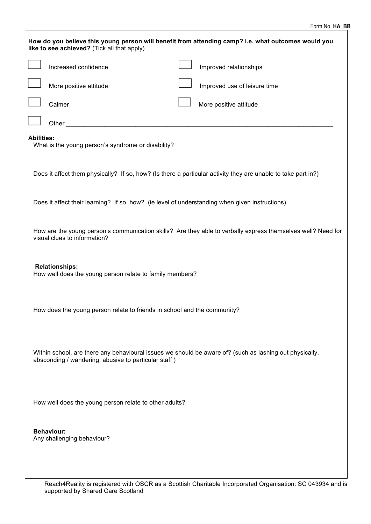| How do you believe this young person will benefit from attending camp? i.e. what outcomes would you<br>like to see achieved? (Tick all that apply)              |                                                        |  |                              |  |  |  |
|-----------------------------------------------------------------------------------------------------------------------------------------------------------------|--------------------------------------------------------|--|------------------------------|--|--|--|
|                                                                                                                                                                 | Increased confidence                                   |  | Improved relationships       |  |  |  |
|                                                                                                                                                                 | More positive attitude                                 |  | Improved use of leisure time |  |  |  |
|                                                                                                                                                                 | Calmer                                                 |  | More positive attitude       |  |  |  |
|                                                                                                                                                                 | Other $\_$                                             |  |                              |  |  |  |
| <b>Abilities:</b><br>What is the young person's syndrome or disability?                                                                                         |                                                        |  |                              |  |  |  |
| Does it affect them physically? If so, how? (Is there a particular activity they are unable to take part in?)                                                   |                                                        |  |                              |  |  |  |
| Does it affect their learning? If so, how? (ie level of understanding when given instructions)                                                                  |                                                        |  |                              |  |  |  |
| How are the young person's communication skills? Are they able to verbally express themselves well? Need for<br>visual clues to information?                    |                                                        |  |                              |  |  |  |
| <b>Relationships:</b><br>How well does the young person relate to family members?                                                                               |                                                        |  |                              |  |  |  |
| How does the young person relate to friends in school and the community?                                                                                        |                                                        |  |                              |  |  |  |
| Within school, are there any behavioural issues we should be aware of? (such as lashing out physically,<br>absconding / wandering, abusive to particular staff) |                                                        |  |                              |  |  |  |
|                                                                                                                                                                 | How well does the young person relate to other adults? |  |                              |  |  |  |
|                                                                                                                                                                 | <b>Behaviour:</b><br>Any challenging behaviour?        |  |                              |  |  |  |
|                                                                                                                                                                 |                                                        |  |                              |  |  |  |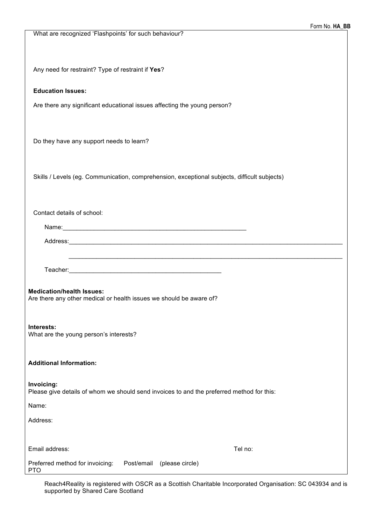| What are recognized 'Flashpoints' for such behaviour?                                                         |
|---------------------------------------------------------------------------------------------------------------|
| Any need for restraint? Type of restraint if Yes?                                                             |
| <b>Education Issues:</b>                                                                                      |
| Are there any significant educational issues affecting the young person?                                      |
|                                                                                                               |
| Do they have any support needs to learn?                                                                      |
| Skills / Levels (eg. Communication, comprehension, exceptional subjects, difficult subjects)                  |
| Contact details of school:                                                                                    |
|                                                                                                               |
| Address: 2008 - 2008 - 2008 - 2019 - 2019 - 2019 - 2019 - 2019 - 2019 - 2019 - 2019 - 2019 - 2019 - 2019 - 20 |
| <u> 1989 - Johann Stoff, amerikansk politiker (d. 1989)</u>                                                   |
| <b>Medication/health Issues:</b><br>Are there any other medical or health issues we should be aware of?       |
| Interests:<br>What are the young person's interests?                                                          |
| <b>Additional Information:</b>                                                                                |
| Invoicing:<br>Please give details of whom we should send invoices to and the preferred method for this:       |
| Name:                                                                                                         |
| Address:                                                                                                      |
| Email address:<br>Tel no:                                                                                     |
| Preferred method for invoicing:<br>Post/email<br>(please circle)<br><b>PTO</b>                                |

Reach4Reality is registered with OSCR as a Scottish Charitable Incorporated Organisation: SC 043934 and is supported by Shared Care Scotland